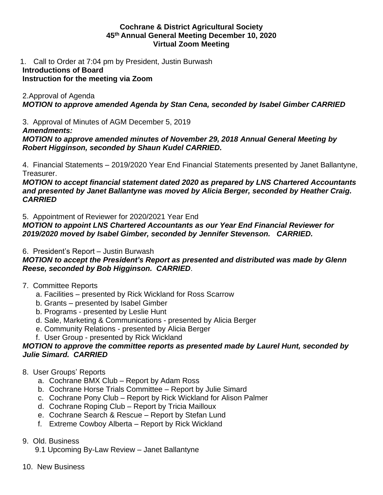#### **Cochrane & District Agricultural Society 45th Annual General Meeting December 10, 2020 Virtual Zoom Meeting**

1. Call to Order at 7:04 pm by President, Justin Burwash

## **Introductions of Board**

# **Instruction for the meeting via Zoom**

## 2.Approval of Agenda *MOTION to approve amended Agenda by Stan Cena, seconded by Isabel Gimber CARRIED*

3. Approval of Minutes of AGM December 5, 2019

## *Amendments:*

*MOTION to approve amended minutes of November 29, 2018 Annual General Meeting by Robert Higginson, seconded by Shaun Kudel CARRIED.*

4. Financial Statements – 2019/2020 Year End Financial Statements presented by Janet Ballantyne, Treasurer.

*MOTION to accept financial statement dated 2020 as prepared by LNS Chartered Accountants and presented by Janet Ballantyne was moved by Alicia Berger, seconded by Heather Craig. CARRIED*

5. Appointment of Reviewer for 2020/2021 Year End

*MOTION to appoint LNS Chartered Accountants as our Year End Financial Reviewer for 2019/2020 moved by Isabel Gimber, seconded by Jennifer Stevenson. CARRIED.*

6. President's Report – Justin Burwash

*MOTION to accept the President's Report as presented and distributed was made by Glenn Reese, seconded by Bob Higginson. CARRIED*.

- 7. Committee Reports
	- a. Facilities presented by Rick Wickland for Ross Scarrow
	- b. Grants presented by Isabel Gimber
	- b. Programs presented by Leslie Hunt
	- d. Sale, Marketing & Communications presented by Alicia Berger
	- e. Community Relations presented by Alicia Berger
	- f. User Group presented by Rick Wickland

## *MOTION to approve the committee reports as presented made by Laurel Hunt, seconded by Julie Simard. CARRIED*

- 8. User Groups' Reports
	- a. Cochrane BMX Club Report by Adam Ross
	- b. Cochrane Horse Trials Committee Report by Julie Simard
	- c. Cochrane Pony Club Report by Rick Wickland for Alison Palmer
	- d. Cochrane Roping Club Report by Tricia Mailloux
	- e. Cochrane Search & Rescue Report by Stefan Lund
	- f. Extreme Cowboy Alberta Report by Rick Wickland

# 9. Old. Business

- 9.1 Upcoming By-Law Review Janet Ballantyne
- 10. New Business